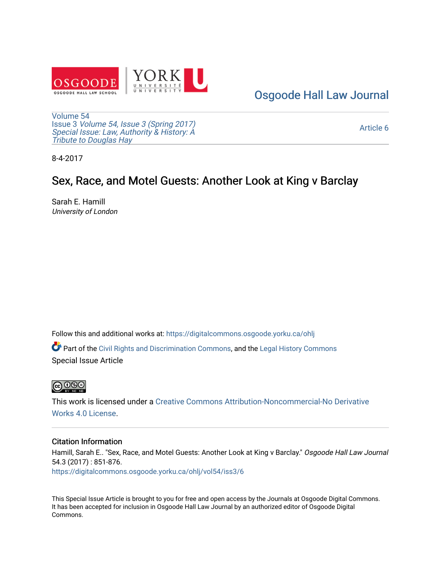

[Osgoode Hall Law Journal](https://digitalcommons.osgoode.yorku.ca/ohlj) 

[Volume 54](https://digitalcommons.osgoode.yorku.ca/ohlj/vol54) Issue 3 [Volume 54, Issue 3 \(Spring 2017\)](https://digitalcommons.osgoode.yorku.ca/ohlj/vol54/iss3) [Special Issue: Law, Authority & History: A](https://digitalcommons.osgoode.yorku.ca/ohlj/vol54/iss3) [Tribute to Douglas Hay](https://digitalcommons.osgoode.yorku.ca/ohlj/vol54/iss3)

[Article 6](https://digitalcommons.osgoode.yorku.ca/ohlj/vol54/iss3/6) 

8-4-2017

## Sex, Race, and Motel Guests: Another Look at King v Barclay

Sarah E. Hamill University of London

Follow this and additional works at: [https://digitalcommons.osgoode.yorku.ca/ohlj](https://digitalcommons.osgoode.yorku.ca/ohlj?utm_source=digitalcommons.osgoode.yorku.ca%2Fohlj%2Fvol54%2Fiss3%2F6&utm_medium=PDF&utm_campaign=PDFCoverPages)

Part of the [Civil Rights and Discrimination Commons,](http://network.bepress.com/hgg/discipline/585?utm_source=digitalcommons.osgoode.yorku.ca%2Fohlj%2Fvol54%2Fiss3%2F6&utm_medium=PDF&utm_campaign=PDFCoverPages) and the [Legal History Commons](http://network.bepress.com/hgg/discipline/904?utm_source=digitalcommons.osgoode.yorku.ca%2Fohlj%2Fvol54%2Fiss3%2F6&utm_medium=PDF&utm_campaign=PDFCoverPages)  Special Issue Article



This work is licensed under a [Creative Commons Attribution-Noncommercial-No Derivative](https://creativecommons.org/licenses/by-nc-nd/4.0/)  [Works 4.0 License](https://creativecommons.org/licenses/by-nc-nd/4.0/).

### Citation Information

Hamill, Sarah E.. "Sex, Race, and Motel Guests: Another Look at King v Barclay." Osgoode Hall Law Journal 54.3 (2017) : 851-876. [https://digitalcommons.osgoode.yorku.ca/ohlj/vol54/iss3/6](https://digitalcommons.osgoode.yorku.ca/ohlj/vol54/iss3/6?utm_source=digitalcommons.osgoode.yorku.ca%2Fohlj%2Fvol54%2Fiss3%2F6&utm_medium=PDF&utm_campaign=PDFCoverPages) 

This Special Issue Article is brought to you for free and open access by the Journals at Osgoode Digital Commons. It has been accepted for inclusion in Osgoode Hall Law Journal by an authorized editor of Osgoode Digital Commons.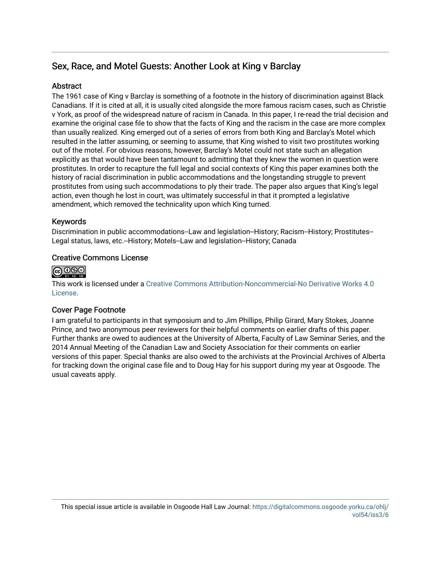### Sex, Race, and Motel Guests: Another Look at King v Barclay

### Abstract

The 1961 case of King v Barclay is something of a footnote in the history of discrimination against Black Canadians. If it is cited at all, it is usually cited alongside the more famous racism cases, such as Christie v York, as proof of the widespread nature of racism in Canada. In this paper, I re-read the trial decision and examine the original case file to show that the facts of King and the racism in the case are more complex than usually realized. King emerged out of a series of errors from both King and Barclay's Motel which resulted in the latter assuming, or seeming to assume, that King wished to visit two prostitutes working out of the motel. For obvious reasons, however, Barclay's Motel could not state such an allegation explicitly as that would have been tantamount to admitting that they knew the women in question were prostitutes. In order to recapture the full legal and social contexts of King this paper examines both the history of racial discrimination in public accommodations and the longstanding struggle to prevent prostitutes from using such accommodations to ply their trade. The paper also argues that King's legal action, even though he lost in court, was ultimately successful in that it prompted a legislative amendment, which removed the technicality upon which King turned.

### Keywords

Discrimination in public accommodations--Law and legislation--History; Racism--History; Prostitutes-- Legal status, laws, etc.--History; Motels--Law and legislation--History; Canada

### Creative Commons License



This work is licensed under a [Creative Commons Attribution-Noncommercial-No Derivative Works 4.0](https://creativecommons.org/licenses/by-nc-nd/4.0/) [License](https://creativecommons.org/licenses/by-nc-nd/4.0/).

### Cover Page Footnote

I am grateful to participants in that symposium and to Jim Phillips, Philip Girard, Mary Stokes, Joanne Prince, and two anonymous peer reviewers for their helpful comments on earlier drafts of this paper. Further thanks are owed to audiences at the University of Alberta, Faculty of Law Seminar Series, and the 2014 Annual Meeting of the Canadian Law and Society Association for their comments on earlier versions of this paper. Special thanks are also owed to the archivists at the Provincial Archives of Alberta for tracking down the original case file and to Doug Hay for his support during my year at Osgoode. The usual caveats apply.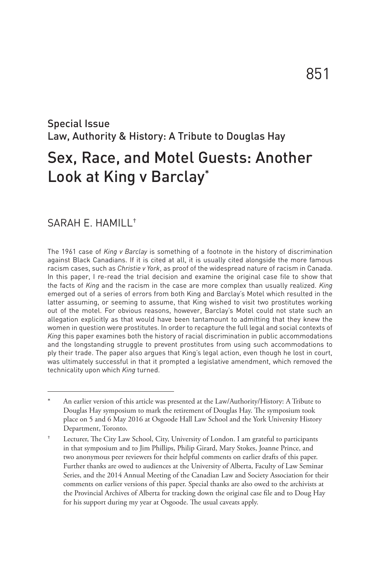# Law, Authority & History: A Tribute to Douglas Hay Sex, Race, and Motel Guests: Another Look at King v Barclay\*

### SARAH E. HAMILL†

Special Issue

The 1961 case of *King v Barclay* is something of a footnote in the history of discrimination against Black Canadians. If it is cited at all, it is usually cited alongside the more famous racism cases, such as *Christie v York*, as proof of the widespread nature of racism in Canada. In this paper, I re-read the trial decision and examine the original case file to show that the facts of *King* and the racism in the case are more complex than usually realized. *King* emerged out of a series of errors from both King and Barclay's Motel which resulted in the latter assuming, or seeming to assume, that King wished to visit two prostitutes working out of the motel. For obvious reasons, however, Barclay's Motel could not state such an allegation explicitly as that would have been tantamount to admitting that they knew the women in question were prostitutes. In order to recapture the full legal and social contexts of *King* this paper examines both the history of racial discrimination in public accommodations and the longstanding struggle to prevent prostitutes from using such accommodations to ply their trade. The paper also argues that King's legal action, even though he lost in court, was ultimately successful in that it prompted a legislative amendment, which removed the technicality upon which *King* turned.

An earlier version of this article was presented at the Law/Authority/History: A Tribute to Douglas Hay symposium to mark the retirement of Douglas Hay. The symposium took place on 5 and 6 May 2016 at Osgoode Hall Law School and the York University History Department, Toronto.

Lecturer, The City Law School, City, University of London. I am grateful to participants in that symposium and to Jim Phillips, Philip Girard, Mary Stokes, Joanne Prince, and two anonymous peer reviewers for their helpful comments on earlier drafts of this paper. Further thanks are owed to audiences at the University of Alberta, Faculty of Law Seminar Series, and the 2014 Annual Meeting of the Canadian Law and Society Association for their comments on earlier versions of this paper. Special thanks are also owed to the archivists at the Provincial Archives of Alberta for tracking down the original case file and to Doug Hay for his support during my year at Osgoode. The usual caveats apply.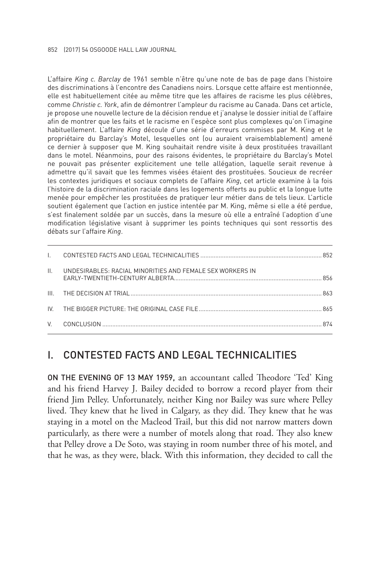L'affaire *King c. Barclay* de 1961 semble n'être qu'une note de bas de page dans l'histoire des discriminations à l'encontre des Canadiens noirs. Lorsque cette affaire est mentionnée, elle est habituellement citée au même titre que les affaires de racisme les plus célèbres, comme *Christie c. York*, afin de démontrer l'ampleur du racisme au Canada. Dans cet article, je propose une nouvelle lecture de la décision rendue et j'analyse le dossier initial de l'affaire afin de montrer que les faits et le racisme en l'espèce sont plus complexes qu'on l'imagine habituellement. L'affaire *King* découle d'une série d'erreurs commises par M. King et le propriétaire du Barclay's Motel, lesquelles ont (ou auraient vraisemblablement) amené ce dernier à supposer que M. King souhaitait rendre visite à deux prostituées travaillant dans le motel. Néanmoins, pour des raisons évidentes, le propriétaire du Barclay's Motel ne pouvait pas présenter explicitement une telle allégation, laquelle serait revenue à admettre qu'il savait que les femmes visées étaient des prostituées. Soucieux de recréer les contextes juridiques et sociaux complets de l'affaire *King*, cet article examine à la fois l'histoire de la discrimination raciale dans les logements offerts au public et la longue lutte menée pour empêcher les prostituées de pratiquer leur métier dans de tels lieux. L'article soutient également que l'action en justice intentée par M. King, même si elle a été perdue, s'est finalement soldée par un succès, dans la mesure où elle a entraîné l'adoption d'une modification législative visant à supprimer les points techniques qui sont ressortis des débats sur l'affaire *King*.

| $\mathbf{H}$ | UNDESIRABLES: RACIAL MINORITIES AND FEMALE SEX WORKERS IN |  |
|--------------|-----------------------------------------------------------|--|
|              |                                                           |  |
|              |                                                           |  |
|              |                                                           |  |

### I. CONTESTED FACTS AND LEGAL TECHNICALITIES

ON THE EVENING OF 13 MAY 1959, an accountant called Theodore 'Ted' King and his friend Harvey J. Bailey decided to borrow a record player from their friend Jim Pelley. Unfortunately, neither King nor Bailey was sure where Pelley lived. They knew that he lived in Calgary, as they did. They knew that he was staying in a motel on the Macleod Trail, but this did not narrow matters down particularly, as there were a number of motels along that road. They also knew that Pelley drove a De Soto, was staying in room number three of his motel, and that he was, as they were, black. With this information, they decided to call the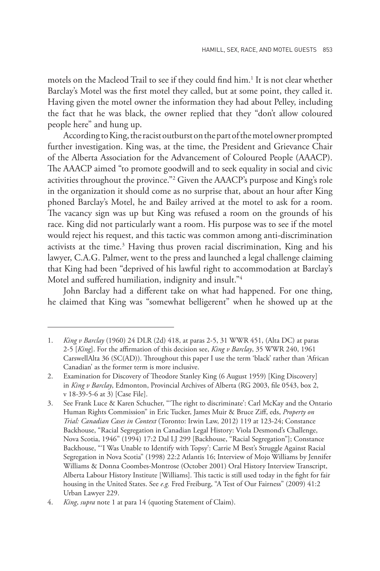motels on the Macleod Trail to see if they could find him.<sup>1</sup> It is not clear whether Barclay's Motel was the first motel they called, but at some point, they called it. Having given the motel owner the information they had about Pelley, including the fact that he was black, the owner replied that they "don't allow coloured people here" and hung up.

According to King, the racist outburst on the part of the motel owner prompted further investigation. King was, at the time, the President and Grievance Chair of the Alberta Association for the Advancement of Coloured People (AAACP). The AAACP aimed "to promote goodwill and to seek equality in social and civic activities throughout the province."2 Given the AAACP's purpose and King's role in the organization it should come as no surprise that, about an hour after King phoned Barclay's Motel, he and Bailey arrived at the motel to ask for a room. The vacancy sign was up but King was refused a room on the grounds of his race. King did not particularly want a room. His purpose was to see if the motel would reject his request, and this tactic was common among anti-discrimination activists at the time.<sup>3</sup> Having thus proven racial discrimination, King and his lawyer, C.A.G. Palmer, went to the press and launched a legal challenge claiming that King had been "deprived of his lawful right to accommodation at Barclay's Motel and suffered humiliation, indignity and insult."<sup>4</sup>

John Barclay had a different take on what had happened. For one thing, he claimed that King was "somewhat belligerent" when he showed up at the

<sup>1.</sup> *King v Barclay* (1960) 24 DLR (2d) 418, at paras 2-5, 31 WWR 451, (Alta DC) at paras 2-5 [*King*]. For the affirmation of this decision see, *King v Barclay*, 35 WWR 240, 1961 CarswellAlta 36 (SC(AD)). Throughout this paper I use the term 'black' rather than 'African Canadian' as the former term is more inclusive.

<sup>2.</sup> Examination for Discovery of Theodore Stanley King (6 August 1959) [King Discovery] in *King v Barclay*, Edmonton, Provincial Archives of Alberta (RG 2003, file 0543, box 2, v 18-39-5-6 at 3) [Case File].

<sup>3.</sup> See Frank Luce & Karen Schucher, "'The right to discriminate': Carl McKay and the Ontario Human Rights Commission" in Eric Tucker, James Muir & Bruce Ziff, eds, *Property on Trial: Canadian Cases in Context* (Toronto: Irwin Law, 2012) 119 at 123-24; Constance Backhouse, "Racial Segregation in Canadian Legal History: Viola Desmond's Challenge, Nova Scotia, 1946" (1994) 17:2 Dal LJ 299 [Backhouse, "Racial Segregation"]; Constance Backhouse, "'I Was Unable to Identify with Topsy': Carrie M Best's Struggle Against Racial Segregation in Nova Scotia" (1998) 22:2 Atlantis 16; Interview of Mojo Williams by Jennifer Williams & Donna Coombes-Montrose (October 2001) Oral History Interview Transcript, Alberta Labour History Institute [Williams]. This tactic is still used today in the fight for fair housing in the United States. See *e.g.* Fred Freiburg, "A Test of Our Fairness" (2009) 41:2 Urban Lawyer 229.

<sup>4.</sup> *King*, *supra* note 1 at para 14 (quoting Statement of Claim).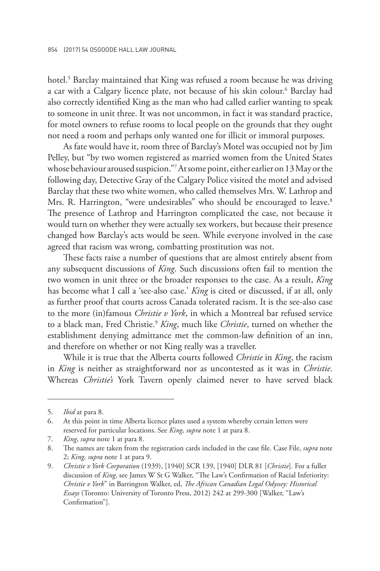hotel.<sup>5</sup> Barclay maintained that King was refused a room because he was driving a car with a Calgary licence plate, not because of his skin colour.6 Barclay had also correctly identified King as the man who had called earlier wanting to speak to someone in unit three. It was not uncommon, in fact it was standard practice, for motel owners to refuse rooms to local people on the grounds that they ought not need a room and perhaps only wanted one for illicit or immoral purposes.

As fate would have it, room three of Barclay's Motel was occupied not by Jim Pelley, but "by two women registered as married women from the United States whose behaviour aroused suspicion."7At some point, either earlier on 13 May or the following day, Detective Gray of the Calgary Police visited the motel and advised Barclay that these two white women, who called themselves Mrs. W. Lathrop and Mrs. R. Harrington, "were undesirables" who should be encouraged to leave.<sup>8</sup> The presence of Lathrop and Harrington complicated the case, not because it would turn on whether they were actually sex workers, but because their presence changed how Barclay's acts would be seen. While everyone involved in the case agreed that racism was wrong, combatting prostitution was not.

These facts raise a number of questions that are almost entirely absent from any subsequent discussions of *King*. Such discussions often fail to mention the two women in unit three or the broader responses to the case. As a result, *King* has become what I call a 'see-also case.' *King* is cited or discussed, if at all, only as further proof that courts across Canada tolerated racism. It is the see-also case to the more (in)famous *Christie v York*, in which a Montreal bar refused service to a black man, Fred Christie.9 *King*, much like *Christie*, turned on whether the establishment denying admittance met the common-law definition of an inn, and therefore on whether or not King really was a traveller.

While it is true that the Alberta courts followed *Christie* in *King*, the racism in *King* is neither as straightforward nor as uncontested as it was in *Christie*. Whereas *Christie's* York Tavern openly claimed never to have served black

<sup>5.</sup> *Ibid* at para 8.

<sup>6.</sup> At this point in time Alberta licence plates used a system whereby certain letters were reserved for particular locations. See *King*, *supra* note 1 at para 8.

<sup>7.</sup> *King*, *supra* note 1 at para 8.

<sup>8.</sup> The names are taken from the registration cards included in the case file. Case File, *supra* note 2; *King, supra* note 1 at para 9.

<sup>9.</sup> *Christie v York Corporation* (1939), [1940] SCR 139, [1940] DLR 81 [*Christie*]. For a fuller discussion of *King*, see James W St G Walker, "The Law's Confirmation of Racial Inferiority: *Christie v York*" in Barrington Walker, ed, *The African Canadian Legal Odyssey: Historical Essays* (Toronto: University of Toronto Press, 2012) 242 at 299-300 [Walker, "Law's Confirmation"].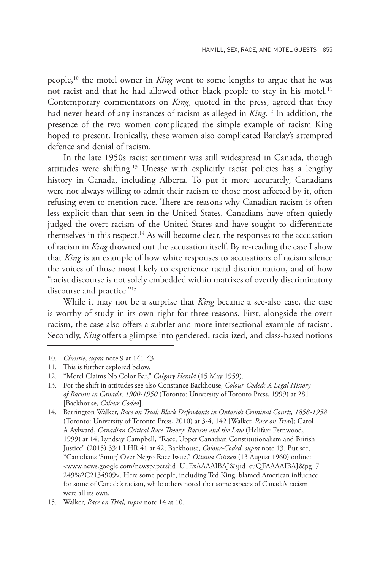people,10 the motel owner in *King* went to some lengths to argue that he was not racist and that he had allowed other black people to stay in his motel.<sup>11</sup> Contemporary commentators on *King*, quoted in the press, agreed that they had never heard of any instances of racism as alleged in *King*. <sup>12</sup> In addition, the presence of the two women complicated the simple example of racism King hoped to present. Ironically, these women also complicated Barclay's attempted defence and denial of racism.

In the late 1950s racist sentiment was still widespread in Canada, though attitudes were shifting.<sup>13</sup> Unease with explicitly racist policies has a lengthy history in Canada, including Alberta. To put it more accurately, Canadians were not always willing to admit their racism to those most affected by it, often refusing even to mention race. There are reasons why Canadian racism is often less explicit than that seen in the United States. Canadians have often quietly judged the overt racism of the United States and have sought to differentiate themselves in this respect.<sup>14</sup> As will become clear, the responses to the accusation of racism in *King* drowned out the accusation itself. By re-reading the case I show that *King* is an example of how white responses to accusations of racism silence the voices of those most likely to experience racial discrimination, and of how "racist discourse is not solely embedded within matrixes of overtly discriminatory discourse and practice."<sup>15</sup>

While it may not be a surprise that *King* became a see-also case, the case is worthy of study in its own right for three reasons. First, alongside the overt racism, the case also offers a subtler and more intersectional example of racism. Secondly, *King* offers a glimpse into gendered, racialized, and class-based notions

<sup>10.</sup> *Christie*, *supra* note 9 at 141-43.

<sup>11.</sup> This is further explored below.

<sup>12.</sup> "Motel Claims No Color Bar," *Calgary Herald* (15 May 1959).

<sup>13.</sup> For the shift in attitudes see also Constance Backhouse, *Colour-Coded: A Legal History of Racism in Canada, 1900-1950* (Toronto: University of Toronto Press, 1999) at 281 [Backhouse, *Colour-Coded*].

<sup>14.</sup> Barrington Walker, *Race on Trial: Black Defendants in Ontario's Criminal Courts, 1858-1958* (Toronto: University of Toronto Press, 2010) at 3-4, 142 [Walker, *Race on Trial*]; Carol A Aylward, *Canadian Critical Race Theory: Racism and the Law* (Halifax: Fernwood, 1999) at 14; Lyndsay Campbell, "Race, Upper Canadian Constitutionalism and British Justice" (2015) 33:1 LHR 41 at 42; Backhouse, *Colour-Coded, supra* note 13. But see, "Canadians 'Smug' Over Negro Race Issue," *Ottawa Citizen* (13 August 1960) online: <www.news.google.com/newspapers?id=U1ExAAAAIBAJ&sjid=euQFAAAAIBAJ&pg=7 249%2C2134909>. Here some people, including Ted King, blamed American influence for some of Canada's racism, while others noted that some aspects of Canada's racism were all its own.

<sup>15.</sup> Walker, *Race on Trial, supra* note 14 at 10.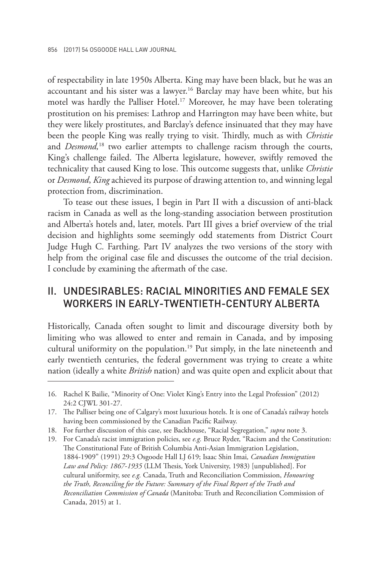of respectability in late 1950s Alberta. King may have been black, but he was an accountant and his sister was a lawyer.16 Barclay may have been white, but his motel was hardly the Palliser Hotel.<sup>17</sup> Moreover, he may have been tolerating prostitution on his premises: Lathrop and Harrington may have been white, but they were likely prostitutes, and Barclay's defence insinuated that they may have been the people King was really trying to visit. Thirdly, much as with *Christie* and *Desmond,*<sup>18</sup> two earlier attempts to challenge racism through the courts, King's challenge failed. The Alberta legislature, however, swiftly removed the technicality that caused King to lose. This outcome suggests that, unlike *Christie* or *Desmond*, *King* achieved its purpose of drawing attention to, and winning legal protection from, discrimination.

To tease out these issues, I begin in Part II with a discussion of anti-black racism in Canada as well as the long-standing association between prostitution and Alberta's hotels and, later, motels. Part III gives a brief overview of the trial decision and highlights some seemingly odd statements from District Court Judge Hugh C. Farthing. Part IV analyzes the two versions of the story with help from the original case file and discusses the outcome of the trial decision. I conclude by examining the aftermath of the case.

### II. UNDESIRABLES: RACIAL MINORITIES AND FEMALE SEX WORKERS IN FARI Y-TWENTIFTH-CENTURY AI BERTA

Historically, Canada often sought to limit and discourage diversity both by limiting who was allowed to enter and remain in Canada, and by imposing cultural uniformity on the population.<sup>19</sup> Put simply, in the late nineteenth and early twentieth centuries, the federal government was trying to create a white nation (ideally a white *British* nation) and was quite open and explicit about that

- 18. For further discussion of this case, see Backhouse, "Racial Segregation," *supra* note 3.
- 19. For Canada's racist immigration policies, see *e.g.* Bruce Ryder, "Racism and the Constitution: The Constitutional Fate of British Columbia Anti-Asian Immigration Legislation, 1884-1909" (1991) 29:3 Osgoode Hall LJ 619; Isaac Shin Imai*, Canadian Immigration Law and Policy: 1867-1935* (LLM Thesis, York University, 1983) [unpublished]. For cultural uniformity, see *e.g.* Canada, Truth and Reconciliation Commission, *Honouring the Truth, Reconciling for the Future: Summary of the Final Report of the Truth and Reconciliation Commission of Canada* (Manitoba: Truth and Reconciliation Commission of Canada, 2015) at 1.

<sup>16.</sup> Rachel K Bailie, "Minority of One: Violet King's Entry into the Legal Profession" (2012) 24:2 CJWL 301-27.

<sup>17.</sup> The Palliser being one of Calgary's most luxurious hotels. It is one of Canada's railway hotels having been commissioned by the Canadian Pacific Railway.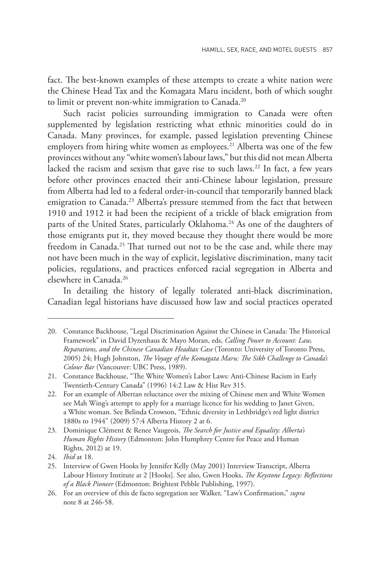fact. The best-known examples of these attempts to create a white nation were the Chinese Head Tax and the Komagata Maru incident, both of which sought to limit or prevent non-white immigration to Canada.<sup>20</sup>

Such racist policies surrounding immigration to Canada were often supplemented by legislation restricting what ethnic minorities could do in Canada. Many provinces, for example, passed legislation preventing Chinese employers from hiring white women as employees.<sup>21</sup> Alberta was one of the few provinces without any "white women's labour laws," but this did not mean Alberta lacked the racism and sexism that gave rise to such laws.<sup>22</sup> In fact, a few years before other provinces enacted their anti-Chinese labour legislation, pressure from Alberta had led to a federal order-in-council that temporarily banned black emigration to Canada.<sup>23</sup> Alberta's pressure stemmed from the fact that between 1910 and 1912 it had been the recipient of a trickle of black emigration from parts of the United States, particularly Oklahoma.<sup>24</sup> As one of the daughters of those emigrants put it, they moved because they thought there would be more freedom in Canada.<sup>25</sup> That turned out not to be the case and, while there may not have been much in the way of explicit, legislative discrimination, many tacit policies, regulations, and practices enforced racial segregation in Alberta and elsewhere in Canada.26

In detailing the history of legally tolerated anti-black discrimination, Canadian legal historians have discussed how law and social practices operated

<sup>20.</sup> Constance Backhouse, "Legal Discrimination Against the Chinese in Canada: The Historical Framework" in David Dyzenhaus & Mayo Moran, eds, *Calling Power to Account: Law, Reparations, and the Chinese Canadian Headtax Case* (Toronto: University of Toronto Press, 2005) 24; Hugh Johnston, *The Voyage of the Komagata Maru: The Sikh Challenge to Canada's Colour Bar* (Vancouver: UBC Press, 1989).

<sup>21.</sup> Constance Backhouse, "The White Women's Labor Laws: Anti-Chinese Racism in Early Twentieth-Century Canada" (1996) 14:2 Law & Hist Rev 315.

<sup>22.</sup> For an example of Albertan reluctance over the mixing of Chinese men and White Women see Mah Wing's attempt to apply for a marriage licence for his wedding to Janet Given, a White woman. See Belinda Crowson, "Ethnic diversity in Lethbridge's red light district 1880s to 1944" (2009) 57:4 Alberta History 2 at 6.

<sup>23.</sup> Dominique Clément & Renee Vaugeois, *The Search for Justice and Equality: Alberta's Human Rights History* (Edmonton: John Humphrey Centre for Peace and Human Rights, 2012) at 19.

<sup>24.</sup> *Ibid* at 18.

<sup>25.</sup> Interview of Gwen Hooks by Jennifer Kelly (May 2001) Interview Transcript, Alberta Labour History Institute at 2 [Hooks]. See also, Gwen Hooks, *The Keystone Legacy: Reflections of a Black Pioneer* (Edmonton: Brightest Pebble Publishing, 1997).

<sup>26.</sup> For an overview of this de facto segregation see Walker, "Law's Confirmation," *supra* note 8 at 246-58.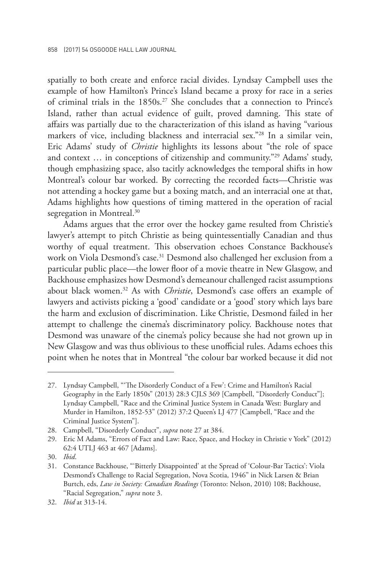spatially to both create and enforce racial divides. Lyndsay Campbell uses the example of how Hamilton's Prince's Island became a proxy for race in a series of criminal trials in the 1850s.<sup>27</sup> She concludes that a connection to Prince's Island, rather than actual evidence of guilt, proved damning. This state of affairs was partially due to the characterization of this island as having "various markers of vice, including blackness and interracial sex."28 In a similar vein, Eric Adams' study of *Christie* highlights its lessons about "the role of space and context … in conceptions of citizenship and community."29 Adams' study, though emphasizing space, also tacitly acknowledges the temporal shifts in how Montreal's colour bar worked. By correcting the recorded facts—Christie was not attending a hockey game but a boxing match, and an interracial one at that, Adams highlights how questions of timing mattered in the operation of racial segregation in Montreal.<sup>30</sup>

Adams argues that the error over the hockey game resulted from Christie's lawyer's attempt to pitch Christie as being quintessentially Canadian and thus worthy of equal treatment. This observation echoes Constance Backhouse's work on Viola Desmond's case.<sup>31</sup> Desmond also challenged her exclusion from a particular public place—the lower floor of a movie theatre in New Glasgow, and Backhouse emphasizes how Desmond's demeanour challenged racist assumptions about black women.32 As with *Christie*, Desmond's case offers an example of lawyers and activists picking a 'good' candidate or a 'good' story which lays bare the harm and exclusion of discrimination. Like Christie, Desmond failed in her attempt to challenge the cinema's discriminatory policy. Backhouse notes that Desmond was unaware of the cinema's policy because she had not grown up in New Glasgow and was thus oblivious to these unofficial rules. Adams echoes this point when he notes that in Montreal "the colour bar worked because it did not

<sup>27.</sup> Lyndsay Campbell, "'The Disorderly Conduct of a Few': Crime and Hamilton's Racial Geography in the Early 1850s" (2013) 28:3 CJLS 369 [Campbell, "Disorderly Conduct"]; Lyndsay Campbell, "Race and the Criminal Justice System in Canada West: Burglary and Murder in Hamilton, 1852-53" (2012) 37:2 Queen's LJ 477 [Campbell, "Race and the Criminal Justice System"].

<sup>28.</sup> Campbell, "Disorderly Conduct", *supra* note 27 at 384.

<sup>29.</sup> Eric M Adams, "Errors of Fact and Law: Race, Space, and Hockey in Christie v York" (2012) 62:4 UTLJ 463 at 467 [Adams].

<sup>30.</sup> *Ibid*.

<sup>31.</sup> Constance Backhouse, "'Bitterly Disappointed' at the Spread of 'Colour-Bar Tactics': Viola Desmond's Challenge to Racial Segregation, Nova Scotia, 1946" in Nick Larsen & Brian Burtch, eds, *Law in Society: Canadian Readings* (Toronto: Nelson, 2010) 108; Backhouse, "Racial Segregation," *supra* note 3.

<sup>32.</sup> *Ibid* at 313-14.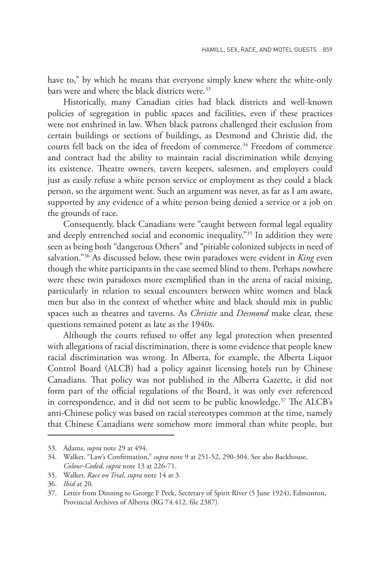have to," by which he means that everyone simply knew where the white-only bars were and where the black districts were.<sup>33</sup>

Historically, many Canadian cities had black districts and well-known policies of segregation in public spaces and facilities, even if these practices were not enshrined in law. When black patrons challenged their exclusion from certain buildings or sections of buildings, as Desmond and Christie did, the courts fell back on the idea of freedom of commerce.<sup>34</sup> Freedom of commerce and contract had the ability to maintain racial discrimination while denying its existence. Theatre owners, tavern keepers, salesmen, and employers could just as easily refuse a white person service or employment as they could a black person, so the argument went. Such an argument was never, as far as I am aware, supported by any evidence of a white person being denied a service or a job on the grounds of race.

Consequently, black Canadians were "caught between formal legal equality and deeply entrenched social and economic inequality."35 In addition they were seen as being both "dangerous Others" and "pitiable colonized subjects in need of salvation."36 As discussed below, these twin paradoxes were evident in *King* even though the white participants in the case seemed blind to them. Perhaps nowhere were these twin paradoxes more exemplified than in the arena of racial mixing, particularly in relation to sexual encounters between white women and black men but also in the context of whether white and black should mix in public spaces such as theatres and taverns. As *Christie* and *Desmond* make clear, these questions remained potent as late as the 1940s.

Although the courts refused to offer any legal protection when presented with allegations of racial discrimination, there is some evidence that people knew racial discrimination was wrong. In Alberta, for example, the Alberta Liquor Control Board (ALCB) had a policy against licensing hotels run by Chinese Canadians. That policy was not published in the Alberta Gazette, it did not form part of the official regulations of the Board, it was only ever referenced in correspondence, and it did not seem to be public knowledge.<sup>37</sup> The ALCB's anti-Chinese policy was based on racial stereotypes common at the time, namely that Chinese Canadians were somehow more immoral than white people, but

<sup>33.</sup> Adams, *supra* note 29 at 494.

<sup>34.</sup> Walker, "Law's Confirmation," *supra* note 9 at 251-52, 290-304. See also Backhouse, *Colour-Coded*, *supra* note 13 at 226-71.

<sup>35.</sup> Walker, *Race on Trial*, *supra* note 14 at 3.

<sup>36.</sup> *Ibid* at 20.

<sup>37.</sup> Letter from Dinning to George F Peek, Secretary of Spirit River (5 June 1924), Edmonton, Provincial Archives of Alberta (RG 74.412, file 2387).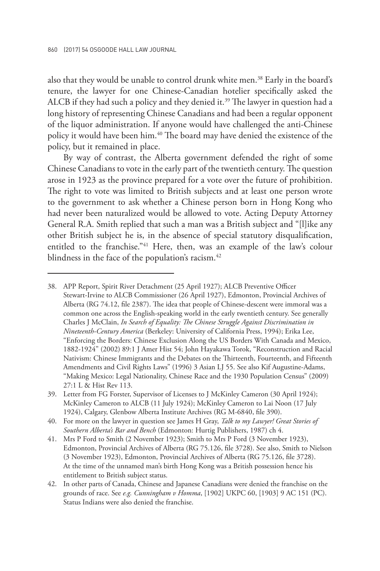also that they would be unable to control drunk white men.<sup>38</sup> Early in the board's tenure, the lawyer for one Chinese-Canadian hotelier specifically asked the ALCB if they had such a policy and they denied it.<sup>39</sup> The lawyer in question had a long history of representing Chinese Canadians and had been a regular opponent of the liquor administration. If anyone would have challenged the anti-Chinese policy it would have been him.<sup>40</sup> The board may have denied the existence of the policy, but it remained in place.

By way of contrast, the Alberta government defended the right of some Chinese Canadians to vote in the early part of the twentieth century. The question arose in 1923 as the province prepared for a vote over the future of prohibition. The right to vote was limited to British subjects and at least one person wrote to the government to ask whether a Chinese person born in Hong Kong who had never been naturalized would be allowed to vote. Acting Deputy Attorney General R.A. Smith replied that such a man was a British subject and "[l]ike any other British subject he is, in the absence of special statutory disqualification, entitled to the franchise."<sup>41</sup> Here, then, was an example of the law's colour blindness in the face of the population's racism.<sup>42</sup>

<sup>38.</sup> APP Report, Spirit River Detachment (25 April 1927); ALCB Preventive Officer Stewart-Irvine to ALCB Commissioner (26 April 1927), Edmonton, Provincial Archives of Alberta (RG 74.12, file 2387). The idea that people of Chinese-descent were immoral was a common one across the English-speaking world in the early twentieth century. See generally Charles J McClain, *In Search of Equality: The Chinese Struggle Against Discrimination in Nineteenth-Century America* (Berkeley: University of California Press, 1994); Erika Lee, "Enforcing the Borders: Chinese Exclusion Along the US Borders With Canada and Mexico, 1882-1924" (2002) 89:1 J Amer Hist 54; John Hayakawa Torok, "Reconstruction and Racial Nativism: Chinese Immigrants and the Debates on the Thirteenth, Fourteenth, and Fifteenth Amendments and Civil Rights Laws" (1996) 3 Asian LJ 55. See also Kif Augustine-Adams, "Making Mexico: Legal Nationality, Chinese Race and the 1930 Population Census" (2009) 27:1 L & Hist Rev 113.

<sup>39.</sup> Letter from FG Forster, Supervisor of Licenses to J McKinley Cameron (30 April 1924); McKinley Cameron to ALCB (11 July 1924); McKinley Cameron to Lai Noon (17 July 1924), Calgary, Glenbow Alberta Institute Archives (RG M-6840, file 390).

<sup>40.</sup> For more on the lawyer in question see James H Gray, *Talk to my Lawyer! Great Stories of Southern Alberta's Bar and Bench* (Edmonton: Hurtig Publishers, 1987) ch 4.

<sup>41.</sup> Mrs P Ford to Smith (2 November 1923); Smith to Mrs P Ford (3 November 1923), Edmonton, Provincial Archives of Alberta (RG 75.126, file 3728). See also, Smith to Nielson (3 November 1923), Edmonton, Provincial Archives of Alberta (RG 75.126, file 3728). At the time of the unnamed man's birth Hong Kong was a British possession hence his entitlement to British subject status.

<sup>42.</sup> In other parts of Canada, Chinese and Japanese Canadians were denied the franchise on the grounds of race. See *e.g. Cunningham v Homma*, [1902] UKPC 60, [1903] 9 AC 151 (PC). Status Indians were also denied the franchise.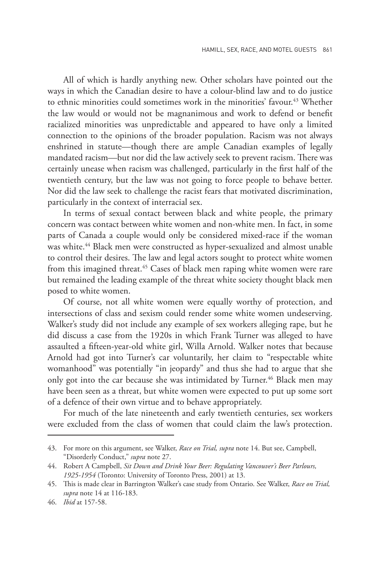All of which is hardly anything new. Other scholars have pointed out the ways in which the Canadian desire to have a colour-blind law and to do justice to ethnic minorities could sometimes work in the minorities' favour.<sup>43</sup> Whether the law would or would not be magnanimous and work to defend or benefit racialized minorities was unpredictable and appeared to have only a limited connection to the opinions of the broader population. Racism was not always enshrined in statute—though there are ample Canadian examples of legally mandated racism—but nor did the law actively seek to prevent racism. There was certainly unease when racism was challenged, particularly in the first half of the twentieth century, but the law was not going to force people to behave better. Nor did the law seek to challenge the racist fears that motivated discrimination, particularly in the context of interracial sex.

In terms of sexual contact between black and white people, the primary concern was contact between white women and non-white men. In fact, in some parts of Canada a couple would only be considered mixed-race if the woman was white.<sup>44</sup> Black men were constructed as hyper-sexualized and almost unable to control their desires. The law and legal actors sought to protect white women from this imagined threat.<sup>45</sup> Cases of black men raping white women were rare but remained the leading example of the threat white society thought black men posed to white women.

Of course, not all white women were equally worthy of protection, and intersections of class and sexism could render some white women undeserving. Walker's study did not include any example of sex workers alleging rape, but he did discuss a case from the 1920s in which Frank Turner was alleged to have assaulted a fifteen-year-old white girl, Willa Arnold. Walker notes that because Arnold had got into Turner's car voluntarily, her claim to "respectable white womanhood" was potentially "in jeopardy" and thus she had to argue that she only got into the car because she was intimidated by Turner.<sup>46</sup> Black men may have been seen as a threat, but white women were expected to put up some sort of a defence of their own virtue and to behave appropriately.

For much of the late nineteenth and early twentieth centuries, sex workers were excluded from the class of women that could claim the law's protection.

<sup>43.</sup> For more on this argument, see Walker, *Race on Trial, supra* note 14. But see, Campbell, "Disorderly Conduct," *supra* note 27.

<sup>44.</sup> Robert A Campbell, *Sit Down and Drink Your Beer: Regulating Vancouver's Beer Parlours, 1925-1954* (Toronto: University of Toronto Press, 2001) at 13.

<sup>45.</sup> This is made clear in Barrington Walker's case study from Ontario. See Walker, *Race on Trial, supra* note 14 at 116-183.

<sup>46.</sup> *Ibid* at 157-58.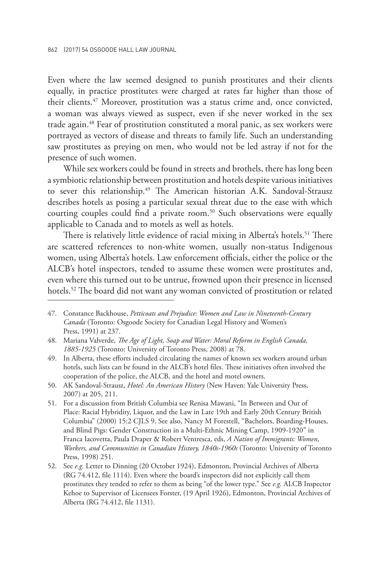Even where the law seemed designed to punish prostitutes and their clients equally, in practice prostitutes were charged at rates far higher than those of their clients.47 Moreover, prostitution was a status crime and, once convicted, a woman was always viewed as suspect, even if she never worked in the sex trade again.<sup>48</sup> Fear of prostitution constituted a moral panic, as sex workers were portrayed as vectors of disease and threats to family life. Such an understanding saw prostitutes as preying on men, who would not be led astray if not for the presence of such women.

While sex workers could be found in streets and brothels, there has long been a symbiotic relationship between prostitution and hotels despite various initiatives to sever this relationship.<sup>49</sup> The American historian A.K. Sandoval-Strausz describes hotels as posing a particular sexual threat due to the ease with which courting couples could find a private room.<sup>50</sup> Such observations were equally applicable to Canada and to motels as well as hotels.

There is relatively little evidence of racial mixing in Alberta's hotels.<sup>51</sup> There are scattered references to non-white women, usually non-status Indigenous women, using Alberta's hotels. Law enforcement officials, either the police or the ALCB's hotel inspectors, tended to assume these women were prostitutes and, even where this turned out to be untrue, frowned upon their presence in licensed hotels.<sup>52</sup> The board did not want any woman convicted of prostitution or related

<sup>47.</sup> Constance Backhouse, *Petticoats and Prejudice: Women and Law in Nineteenth-Century Canada* (Toronto: Osgoode Society for Canadian Legal History and Women's Press, 1991) at 237.

<sup>48.</sup> Mariana Valverde, *The Age of Light, Soap and Water: Moral Reform in English Canada, 1885-1925* (Toronto: University of Toronto Press, 2008) at 78.

<sup>49.</sup> In Alberta, these efforts included circulating the names of known sex workers around urban hotels, such lists can be found in the ALCB's hotel files. These initiatives often involved the cooperation of the police, the ALCB, and the hotel and motel owners.

<sup>50.</sup> AK Sandoval-Strausz, *Hotel: An American History* (New Haven: Yale University Press, 2007) at 205, 211.

<sup>51.</sup> For a discussion from British Columbia see Renisa Mawani, "In Between and Out of Place: Racial Hybridity, Liquor, and the Law in Late 19th and Early 20th Century British Columbia" (2000) 15:2 CJLS 9. See also, Nancy M Forestell, "Bachelors, Boarding-Houses, and Blind Pigs: Gender Construction in a Multi-Ethnic Mining Camp, 1909-1920" in Franca Iacovetta, Paula Draper & Robert Ventresca, eds, *A Nation of Immigrants: Women, Workers, and Communities in Canadian History, 1840s-1960s* (Toronto: University of Toronto Press, 1998) 251.

<sup>52.</sup> See *e.g.* Letter to Dinning (20 October 1924), Edmonton, Provincial Archives of Alberta (RG 74.412, file 1114). Even where the board's inspectors did not explicitly call them prostitutes they tended to refer to them as being "of the lower type." See *e.g.* ALCB Inspector Kehoe to Supervisor of Licensees Forster, (19 April 1926), Edmonton, Provincial Archives of Alberta (RG 74.412, file 1131).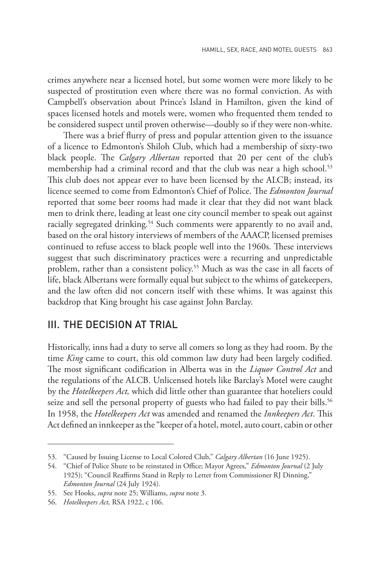crimes anywhere near a licensed hotel, but some women were more likely to be suspected of prostitution even where there was no formal conviction. As with Campbell's observation about Prince's Island in Hamilton, given the kind of spaces licensed hotels and motels were, women who frequented them tended to be considered suspect until proven otherwise—doubly so if they were non-white.

There was a brief flurry of press and popular attention given to the issuance of a licence to Edmonton's Shiloh Club, which had a membership of sixty-two black people. The *Calgary Albertan* reported that 20 per cent of the club's membership had a criminal record and that the club was near a high school.<sup>53</sup> This club does not appear ever to have been licensed by the ALCB; instead, its licence seemed to come from Edmonton's Chief of Police. The *Edmonton Journal*  reported that some beer rooms had made it clear that they did not want black men to drink there, leading at least one city council member to speak out against racially segregated drinking.<sup>54</sup> Such comments were apparently to no avail and, based on the oral history interviews of members of the AAACP, licensed premises continued to refuse access to black people well into the 1960s. These interviews suggest that such discriminatory practices were a recurring and unpredictable problem, rather than a consistent policy.<sup>55</sup> Much as was the case in all facets of life, black Albertans were formally equal but subject to the whims of gatekeepers, and the law often did not concern itself with these whims. It was against this backdrop that King brought his case against John Barclay.

### III. THE DECISION AT TRIAL

Historically, inns had a duty to serve all comers so long as they had room. By the time *King* came to court, this old common law duty had been largely codified. The most significant codification in Alberta was in the *Liquor Control Act* and the regulations of the ALCB. Unlicensed hotels like Barclay's Motel were caught by the *Hotelkeepers Act,* which did little other than guarantee that hoteliers could seize and sell the personal property of guests who had failed to pay their bills.<sup>56</sup> In 1958, the *Hotelkeepers Act* was amended and renamed the *Innkeepers Act*. This Act defined an innkeeper as the "keeper of a hotel, motel, auto court, cabin or other

<sup>53.</sup> "Caused by Issuing License to Local Colored Club," *Calgary Albertan* (16 June 1925).

<sup>54.</sup> "Chief of Police Shute to be reinstated in Office; Mayor Agrees," *Edmonton Journal* (2 July 1925); "Council Reaffirms Stand in Reply to Letter from Commissioner RJ Dinning," *Edmonton Journal* (24 July 1924).

<sup>55.</sup> See Hooks, *supra* note 25; Williams, *supra* note 3.

<sup>56.</sup> *Hotelkeepers Act,* RSA 1922, c 106.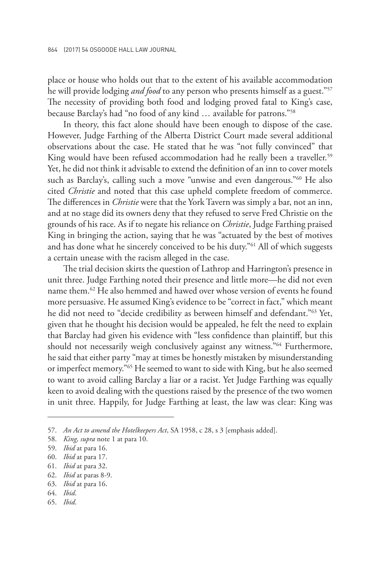place or house who holds out that to the extent of his available accommodation he will provide lodging *and food* to any person who presents himself as a guest."57 The necessity of providing both food and lodging proved fatal to King's case, because Barclay's had "no food of any kind … available for patrons."58

In theory, this fact alone should have been enough to dispose of the case. However, Judge Farthing of the Alberta District Court made several additional observations about the case. He stated that he was "not fully convinced" that King would have been refused accommodation had he really been a traveller.<sup>59</sup> Yet, he did not think it advisable to extend the definition of an inn to cover motels such as Barclay's, calling such a move "unwise and even dangerous."60 He also cited *Christie* and noted that this case upheld complete freedom of commerce. The differences in *Christie* were that the York Tavern was simply a bar, not an inn, and at no stage did its owners deny that they refused to serve Fred Christie on the grounds of his race. As if to negate his reliance on *Christie*, Judge Farthing praised King in bringing the action, saying that he was "actuated by the best of motives and has done what he sincerely conceived to be his duty.<sup>"61</sup> All of which suggests a certain unease with the racism alleged in the case.

The trial decision skirts the question of Lathrop and Harrington's presence in unit three. Judge Farthing noted their presence and little more—he did not even name them.62 He also hemmed and hawed over whose version of events he found more persuasive. He assumed King's evidence to be "correct in fact," which meant he did not need to "decide credibility as between himself and defendant."63 Yet, given that he thought his decision would be appealed, he felt the need to explain that Barclay had given his evidence with "less confidence than plaintiff, but this should not necessarily weigh conclusively against any witness."64 Furthermore, he said that either party "may at times be honestly mistaken by misunderstanding or imperfect memory."65 He seemed to want to side with King, but he also seemed to want to avoid calling Barclay a liar or a racist. Yet Judge Farthing was equally keen to avoid dealing with the questions raised by the presence of the two women in unit three. Happily, for Judge Farthing at least, the law was clear: King was

- 61. *Ibid* at para 32.
- 62. *Ibid* at paras 8-9.
- 63. *Ibid* at para 16.
- 64. *Ibid*.
- 65. *Ibid*.

<sup>57.</sup> *An Act to amend the Hotelkeepers Act*, SA 1958, c 28, s 3 [emphasis added].

<sup>58.</sup> *King, supra* note 1 at para 10.

<sup>59.</sup> *Ibid* at para 16.

<sup>60.</sup> *Ibid* at para 17.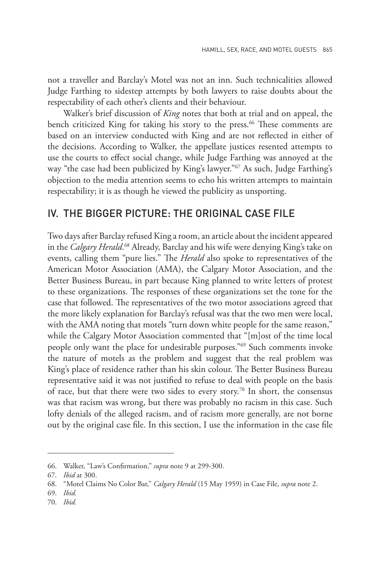not a traveller and Barclay's Motel was not an inn. Such technicalities allowed Judge Farthing to sidestep attempts by both lawyers to raise doubts about the respectability of each other's clients and their behaviour.

Walker's brief discussion of *King* notes that both at trial and on appeal, the bench criticized King for taking his story to the press.<sup>66</sup> These comments are based on an interview conducted with King and are not reflected in either of the decisions. According to Walker, the appellate justices resented attempts to use the courts to effect social change, while Judge Farthing was annoyed at the way "the case had been publicized by King's lawyer."<sup>67</sup> As such, Judge Farthing's objection to the media attention seems to echo his written attempts to maintain respectability; it is as though he viewed the publicity as unsporting.

#### IV. THE BIGGER PICTURE: THE ORIGINAL CASE FILE

Two days after Barclay refused King a room, an article about the incident appeared in the *Calgary Herald*. 68 Already, Barclay and his wife were denying King's take on events, calling them "pure lies." The *Herald* also spoke to representatives of the American Motor Association (AMA), the Calgary Motor Association, and the Better Business Bureau, in part because King planned to write letters of protest to these organizations. The responses of these organizations set the tone for the case that followed. The representatives of the two motor associations agreed that the more likely explanation for Barclay's refusal was that the two men were local, with the AMA noting that motels "turn down white people for the same reason," while the Calgary Motor Association commented that "[m]ost of the time local people only want the place for undesirable purposes."69 Such comments invoke the nature of motels as the problem and suggest that the real problem was King's place of residence rather than his skin colour. The Better Business Bureau representative said it was not justified to refuse to deal with people on the basis of race, but that there were two sides to every story.70 In short, the consensus was that racism was wrong, but there was probably no racism in this case. Such lofty denials of the alleged racism, and of racism more generally, are not borne out by the original case file. In this section, I use the information in the case file

<sup>66.</sup> Walker, "Law's Confirmation," *supra* note 9 at 299-300.

<sup>67.</sup> *Ibid* at 300.

<sup>68.</sup> "Motel Claims No Color Bar," *Calgary Herald* (15 May 1959) in Case File, *supra* note 2.

<sup>69.</sup> *Ibid.*

<sup>70.</sup> *Ibid.*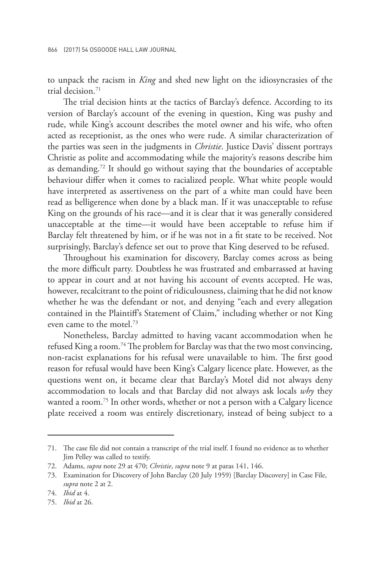to unpack the racism in *King* and shed new light on the idiosyncrasies of the trial decision.71

The trial decision hints at the tactics of Barclay's defence. According to its version of Barclay's account of the evening in question, King was pushy and rude, while King's account describes the motel owner and his wife, who often acted as receptionist, as the ones who were rude. A similar characterization of the parties was seen in the judgments in *Christie*. Justice Davis' dissent portrays Christie as polite and accommodating while the majority's reasons describe him as demanding.72 It should go without saying that the boundaries of acceptable behaviour differ when it comes to racialized people. What white people would have interpreted as assertiveness on the part of a white man could have been read as belligerence when done by a black man. If it was unacceptable to refuse King on the grounds of his race—and it is clear that it was generally considered unacceptable at the time—it would have been acceptable to refuse him if Barclay felt threatened by him, or if he was not in a fit state to be received. Not surprisingly, Barclay's defence set out to prove that King deserved to be refused.

Throughout his examination for discovery, Barclay comes across as being the more difficult party. Doubtless he was frustrated and embarrassed at having to appear in court and at not having his account of events accepted. He was, however, recalcitrant to the point of ridiculousness, claiming that he did not know whether he was the defendant or not, and denying "each and every allegation contained in the Plaintiff's Statement of Claim," including whether or not King even came to the motel.73

Nonetheless, Barclay admitted to having vacant accommodation when he refused King a room.74 The problem for Barclay was that the two most convincing, non-racist explanations for his refusal were unavailable to him. The first good reason for refusal would have been King's Calgary licence plate. However, as the questions went on, it became clear that Barclay's Motel did not always deny accommodation to locals and that Barclay did not always ask locals *why* they wanted a room.<sup>75</sup> In other words, whether or not a person with a Calgary licence plate received a room was entirely discretionary, instead of being subject to a

<sup>71.</sup> The case file did not contain a transcript of the trial itself. I found no evidence as to whether Jim Pelley was called to testify.

<sup>72.</sup> Adams, *supra* note 29 at 470; *Christie*, *supra* note 9 at paras 141, 146.

<sup>73.</sup> Examination for Discovery of John Barclay (20 July 1959) [Barclay Discovery] in Case File, *supra* note 2 at 2.

<sup>74.</sup> *Ibid* at 4.

<sup>75.</sup> *Ibid* at 26.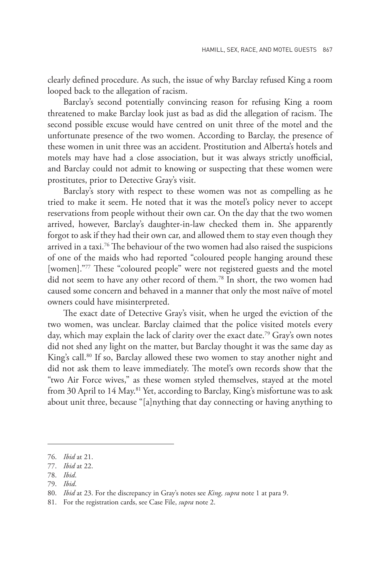clearly defined procedure. As such, the issue of why Barclay refused King a room looped back to the allegation of racism.

Barclay's second potentially convincing reason for refusing King a room threatened to make Barclay look just as bad as did the allegation of racism. The second possible excuse would have centred on unit three of the motel and the unfortunate presence of the two women. According to Barclay, the presence of these women in unit three was an accident. Prostitution and Alberta's hotels and motels may have had a close association, but it was always strictly unofficial, and Barclay could not admit to knowing or suspecting that these women were prostitutes, prior to Detective Gray's visit.

Barclay's story with respect to these women was not as compelling as he tried to make it seem. He noted that it was the motel's policy never to accept reservations from people without their own car. On the day that the two women arrived, however, Barclay's daughter-in-law checked them in. She apparently forgot to ask if they had their own car, and allowed them to stay even though they arrived in a taxi.<sup>76</sup> The behaviour of the two women had also raised the suspicions of one of the maids who had reported "coloured people hanging around these [women]."77 These "coloured people" were not registered guests and the motel did not seem to have any other record of them.78 In short, the two women had caused some concern and behaved in a manner that only the most naïve of motel owners could have misinterpreted.

The exact date of Detective Gray's visit, when he urged the eviction of the two women, was unclear. Barclay claimed that the police visited motels every day, which may explain the lack of clarity over the exact date.<sup>79</sup> Gray's own notes did not shed any light on the matter, but Barclay thought it was the same day as King's call.<sup>80</sup> If so, Barclay allowed these two women to stay another night and did not ask them to leave immediately. The motel's own records show that the "two Air Force wives," as these women styled themselves, stayed at the motel from 30 April to 14 May.<sup>81</sup> Yet, according to Barclay, King's misfortune was to ask about unit three, because "[a]nything that day connecting or having anything to

<sup>76.</sup> *Ibid* at 21.

<sup>77.</sup> *Ibid* at 22.

<sup>78.</sup> *Ibid*.

<sup>79.</sup> *Ibid*.

<sup>80.</sup> *Ibid* at 23. For the discrepancy in Gray's notes see *King, supra* note 1 at para 9.

<sup>81.</sup> For the registration cards, see Case File, *supra* note 2.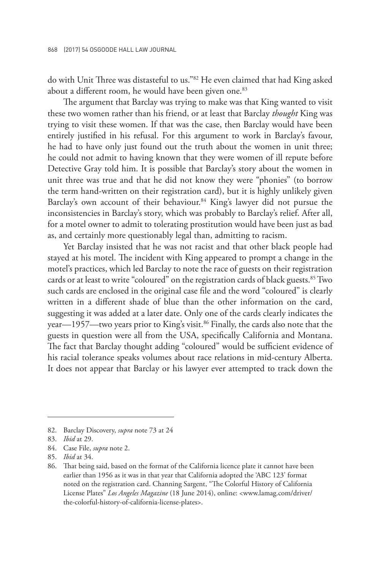do with Unit Three was distasteful to us."82 He even claimed that had King asked about a different room, he would have been given one.<sup>83</sup>

The argument that Barclay was trying to make was that King wanted to visit these two women rather than his friend, or at least that Barclay *thought* King was trying to visit these women. If that was the case, then Barclay would have been entirely justified in his refusal. For this argument to work in Barclay's favour, he had to have only just found out the truth about the women in unit three; he could not admit to having known that they were women of ill repute before Detective Gray told him. It is possible that Barclay's story about the women in unit three was true and that he did not know they were "phonies" (to borrow the term hand-written on their registration card), but it is highly unlikely given Barclay's own account of their behaviour.<sup>84</sup> King's lawyer did not pursue the inconsistencies in Barclay's story, which was probably to Barclay's relief. After all, for a motel owner to admit to tolerating prostitution would have been just as bad as, and certainly more questionably legal than, admitting to racism.

Yet Barclay insisted that he was not racist and that other black people had stayed at his motel. The incident with King appeared to prompt a change in the motel's practices, which led Barclay to note the race of guests on their registration cards or at least to write "coloured" on the registration cards of black guests.<sup>85</sup> Two such cards are enclosed in the original case file and the word "coloured" is clearly written in a different shade of blue than the other information on the card, suggesting it was added at a later date. Only one of the cards clearly indicates the year—1957—two years prior to King's visit.<sup>86</sup> Finally, the cards also note that the guests in question were all from the USA, specifically California and Montana. The fact that Barclay thought adding "coloured" would be sufficient evidence of his racial tolerance speaks volumes about race relations in mid-century Alberta. It does not appear that Barclay or his lawyer ever attempted to track down the

<sup>82.</sup> Barclay Discovery, *supra* note 73 at 24

<sup>83.</sup> *Ibid* at 29.

<sup>84.</sup> Case File, *supra* note 2.

<sup>85.</sup> *Ibid* at 34.

<sup>86.</sup> That being said, based on the format of the California licence plate it cannot have been earlier than 1956 as it was in that year that California adopted the 'ABC 123' format noted on the registration card. Channing Sargent, "The Colorful History of California License Plates" *Los Angeles Magazine* (18 June 2014), online: <www.lamag.com/driver/ the-colorful-history-of-california-license-plates>.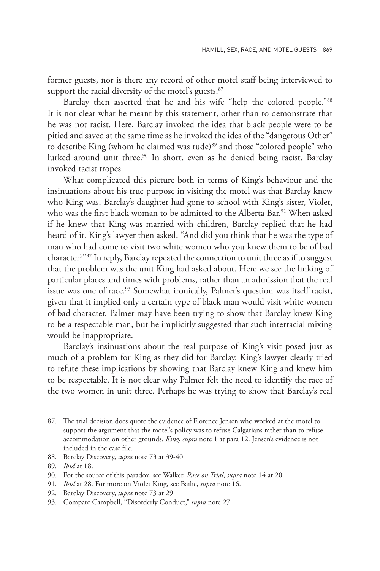former guests, nor is there any record of other motel staff being interviewed to support the racial diversity of the motel's guests.<sup>87</sup>

Barclay then asserted that he and his wife "help the colored people."88 It is not clear what he meant by this statement, other than to demonstrate that he was not racist. Here, Barclay invoked the idea that black people were to be pitied and saved at the same time as he invoked the idea of the "dangerous Other" to describe King (whom he claimed was rude)<sup>89</sup> and those "colored people" who lurked around unit three.<sup>90</sup> In short, even as he denied being racist, Barclay invoked racist tropes.

What complicated this picture both in terms of King's behaviour and the insinuations about his true purpose in visiting the motel was that Barclay knew who King was. Barclay's daughter had gone to school with King's sister, Violet, who was the first black woman to be admitted to the Alberta Bar.<sup>91</sup> When asked if he knew that King was married with children, Barclay replied that he had heard of it. King's lawyer then asked, "And did you think that he was the type of man who had come to visit two white women who you knew them to be of bad character?"92 In reply, Barclay repeated the connection to unit three as if to suggest that the problem was the unit King had asked about. Here we see the linking of particular places and times with problems, rather than an admission that the real issue was one of race.<sup>93</sup> Somewhat ironically, Palmer's question was itself racist, given that it implied only a certain type of black man would visit white women of bad character. Palmer may have been trying to show that Barclay knew King to be a respectable man, but he implicitly suggested that such interracial mixing would be inappropriate.

Barclay's insinuations about the real purpose of King's visit posed just as much of a problem for King as they did for Barclay. King's lawyer clearly tried to refute these implications by showing that Barclay knew King and knew him to be respectable. It is not clear why Palmer felt the need to identify the race of the two women in unit three. Perhaps he was trying to show that Barclay's real

<sup>87.</sup> The trial decision does quote the evidence of Florence Jensen who worked at the motel to support the argument that the motel's policy was to refuse Calgarians rather than to refuse accommodation on other grounds. *King*, *supra* note 1 at para 12. Jensen's evidence is not included in the case file.

<sup>88.</sup> Barclay Discovery, *supra* note 73 at 39-40.

<sup>89.</sup> *Ibid* at 18.

<sup>90.</sup> For the source of this paradox, see Walker, *Race on Trial*, *supra* note 14 at 20.

<sup>91.</sup> *Ibid* at 28. For more on Violet King, see Bailie, *supra* note 16.

<sup>92.</sup> Barclay Discovery, *supra* note 73 at 29.

<sup>93.</sup> Compare Campbell, "Disorderly Conduct," *supra* note 27.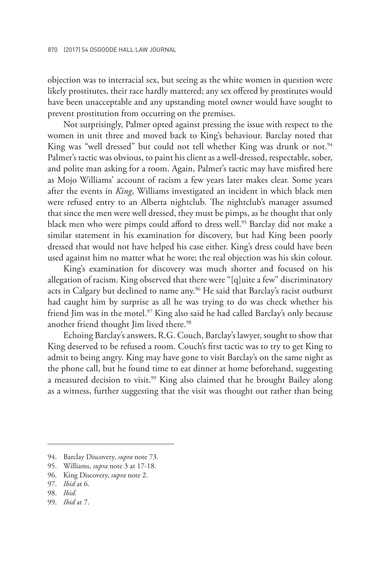objection was to interracial sex, but seeing as the white women in question were likely prostitutes, their race hardly mattered; any sex offered by prostitutes would have been unacceptable and any upstanding motel owner would have sought to prevent prostitution from occurring on the premises.

Not surprisingly, Palmer opted against pressing the issue with respect to the women in unit three and moved back to King's behaviour. Barclay noted that King was "well dressed" but could not tell whether King was drunk or not.<sup>94</sup> Palmer's tactic was obvious, to paint his client as a well-dressed, respectable, sober, and polite man asking for a room. Again, Palmer's tactic may have misfired here as Mojo Williams' account of racism a few years later makes clear. Some years after the events in *King*, Williams investigated an incident in which black men were refused entry to an Alberta nightclub. The nightclub's manager assumed that since the men were well dressed, they must be pimps, as he thought that only black men who were pimps could afford to dress well.<sup>95</sup> Barclay did not make a similar statement in his examination for discovery, but had King been poorly dressed that would not have helped his case either. King's dress could have been used against him no matter what he wore; the real objection was his skin colour.

King's examination for discovery was much shorter and focused on his allegation of racism. King observed that there were "[q]uite a few" discriminatory acts in Calgary but declined to name any.<sup>96</sup> He said that Barclay's racist outburst had caught him by surprise as all he was trying to do was check whether his friend Jim was in the motel.<sup>97</sup> King also said he had called Barclay's only because another friend thought Jim lived there.<sup>98</sup>

Echoing Barclay's answers, R.G. Couch, Barclay's lawyer, sought to show that King deserved to be refused a room. Couch's first tactic was to try to get King to admit to being angry. King may have gone to visit Barclay's on the same night as the phone call, but he found time to eat dinner at home beforehand, suggesting a measured decision to visit.<sup>99</sup> King also claimed that he brought Bailey along as a witness, further suggesting that the visit was thought out rather than being

<sup>94.</sup> Barclay Discovery, *supra* note 73.

<sup>95.</sup> Williams, *supra* note 3 at 17-18.

<sup>96.</sup> King Discovery, *supra* note 2.

<sup>97.</sup> *Ibid* at 6.

<sup>98.</sup> *Ibid.*

<sup>99.</sup> *Ibid* at 7.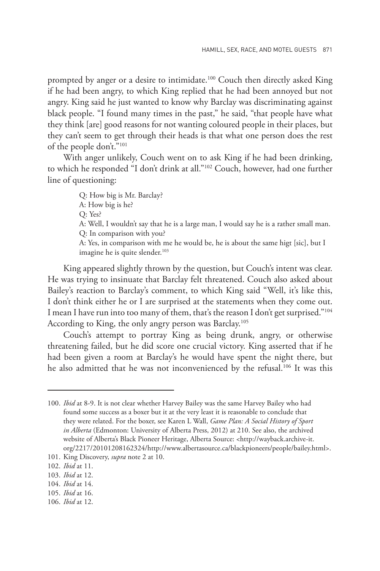prompted by anger or a desire to intimidate.<sup>100</sup> Couch then directly asked King if he had been angry, to which King replied that he had been annoyed but not angry. King said he just wanted to know why Barclay was discriminating against black people. "I found many times in the past," he said, "that people have what they think [are] good reasons for not wanting coloured people in their places, but they can't seem to get through their heads is that what one person does the rest of the people don't."101

With anger unlikely, Couch went on to ask King if he had been drinking, to which he responded "I don't drink at all."102 Couch, however, had one further line of questioning:

> Q: How big is Mr. Barclay? A: How big is he? Q: Yes? A: Well, I wouldn't say that he is a large man, I would say he is a rather small man. Q: In comparison with you? A: Yes, in comparison with me he would be, he is about the same higt [sic], but I imagine he is quite slender.<sup>103</sup>

King appeared slightly thrown by the question, but Couch's intent was clear. He was trying to insinuate that Barclay felt threatened. Couch also asked about Bailey's reaction to Barclay's comment, to which King said "Well, it's like this, I don't think either he or I are surprised at the statements when they come out. I mean I have run into too many of them, that's the reason I don't get surprised."<sup>104</sup> According to King, the only angry person was Barclay.105

Couch's attempt to portray King as being drunk, angry, or otherwise threatening failed, but he did score one crucial victory. King asserted that if he had been given a room at Barclay's he would have spent the night there, but he also admitted that he was not inconvenienced by the refusal.<sup>106</sup> It was this

<sup>100.</sup> *Ibid* at 8-9. It is not clear whether Harvey Bailey was the same Harvey Bailey who had found some success as a boxer but it at the very least it is reasonable to conclude that they were related. For the boxer, see Karen L Wall, *Game Plan: A Social History of Sport in Alberta* (Edmonton: University of Alberta Press, 2012) at 210. See also, the archived website of Alberta's Black Pioneer Heritage, Alberta Source: <http://wayback.archive-it. org/2217/20101208162324/http://www.albertasource.ca/blackpioneers/people/bailey.html>.

<sup>101.</sup> King Discovery, *supra* note 2 at 10.

<sup>102.</sup> *Ibid* at 11.

<sup>103.</sup> *Ibid* at 12.

<sup>104.</sup> *Ibid* at 14.

<sup>105.</sup> *Ibid* at 16.

<sup>106.</sup> *Ibid* at 12.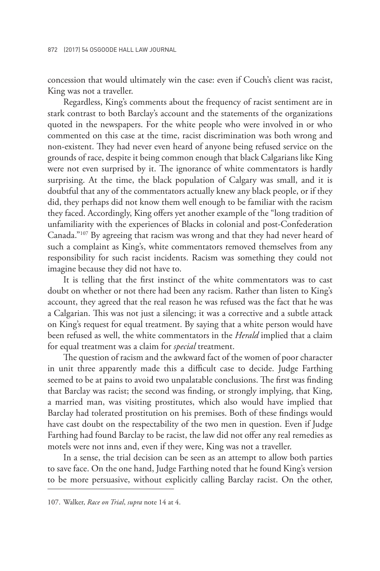concession that would ultimately win the case: even if Couch's client was racist, King was not a traveller.

Regardless, King's comments about the frequency of racist sentiment are in stark contrast to both Barclay's account and the statements of the organizations quoted in the newspapers. For the white people who were involved in or who commented on this case at the time, racist discrimination was both wrong and non-existent. They had never even heard of anyone being refused service on the grounds of race, despite it being common enough that black Calgarians like King were not even surprised by it. The ignorance of white commentators is hardly surprising. At the time, the black population of Calgary was small, and it is doubtful that any of the commentators actually knew any black people, or if they did, they perhaps did not know them well enough to be familiar with the racism they faced. Accordingly, King offers yet another example of the "long tradition of unfamiliarity with the experiences of Blacks in colonial and post-Confederation Canada."107 By agreeing that racism was wrong and that they had never heard of such a complaint as King's, white commentators removed themselves from any responsibility for such racist incidents. Racism was something they could not imagine because they did not have to.

It is telling that the first instinct of the white commentators was to cast doubt on whether or not there had been any racism. Rather than listen to King's account, they agreed that the real reason he was refused was the fact that he was a Calgarian. This was not just a silencing; it was a corrective and a subtle attack on King's request for equal treatment. By saying that a white person would have been refused as well, the white commentators in the *Herald* implied that a claim for equal treatment was a claim for *special* treatment.

The question of racism and the awkward fact of the women of poor character in unit three apparently made this a difficult case to decide. Judge Farthing seemed to be at pains to avoid two unpalatable conclusions. The first was finding that Barclay was racist; the second was finding, or strongly implying, that King, a married man, was visiting prostitutes, which also would have implied that Barclay had tolerated prostitution on his premises. Both of these findings would have cast doubt on the respectability of the two men in question. Even if Judge Farthing had found Barclay to be racist, the law did not offer any real remedies as motels were not inns and, even if they were, King was not a traveller.

In a sense, the trial decision can be seen as an attempt to allow both parties to save face. On the one hand, Judge Farthing noted that he found King's version to be more persuasive, without explicitly calling Barclay racist. On the other,

<sup>107.</sup> Walker, *Race on Trial*, *supra* note 14 at 4.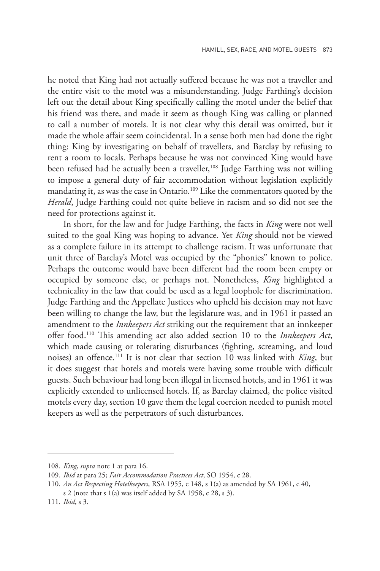he noted that King had not actually suffered because he was not a traveller and the entire visit to the motel was a misunderstanding. Judge Farthing's decision left out the detail about King specifically calling the motel under the belief that his friend was there, and made it seem as though King was calling or planned to call a number of motels. It is not clear why this detail was omitted, but it made the whole affair seem coincidental. In a sense both men had done the right thing: King by investigating on behalf of travellers, and Barclay by refusing to rent a room to locals. Perhaps because he was not convinced King would have been refused had he actually been a traveller,<sup>108</sup> Judge Farthing was not willing to impose a general duty of fair accommodation without legislation explicitly mandating it, as was the case in Ontario.<sup>109</sup> Like the commentators quoted by the *Herald*, Judge Farthing could not quite believe in racism and so did not see the need for protections against it.

In short, for the law and for Judge Farthing, the facts in *King* were not well suited to the goal King was hoping to advance. Yet *King* should not be viewed as a complete failure in its attempt to challenge racism. It was unfortunate that unit three of Barclay's Motel was occupied by the "phonies" known to police. Perhaps the outcome would have been different had the room been empty or occupied by someone else, or perhaps not. Nonetheless, *King* highlighted a technicality in the law that could be used as a legal loophole for discrimination. Judge Farthing and the Appellate Justices who upheld his decision may not have been willing to change the law, but the legislature was, and in 1961 it passed an amendment to the *Innkeepers Act* striking out the requirement that an innkeeper offer food.110 This amending act also added section 10 to the *Innkeepers Act*, which made causing or tolerating disturbances (fighting, screaming, and loud noises) an offence.111 It is not clear that section 10 was linked with *King*, but it does suggest that hotels and motels were having some trouble with difficult guests. Such behaviour had long been illegal in licensed hotels, and in 1961 it was explicitly extended to unlicensed hotels. If, as Barclay claimed, the police visited motels every day, section 10 gave them the legal coercion needed to punish motel keepers as well as the perpetrators of such disturbances.

<sup>108.</sup> *King*, *supra* note 1 at para 16.

<sup>109.</sup> *Ibid* at para 25; *Fair Accommodation Practices Act*, SO 1954, c 28.

<sup>110.</sup> *An Act Respecting Hotelkeepers*, RSA 1955, c 148, s 1(a) as amended by SA 1961, c 40,

s 2 (note that s 1(a) was itself added by SA 1958, c 28, s 3).

<sup>111.</sup> *Ibid*, s 3.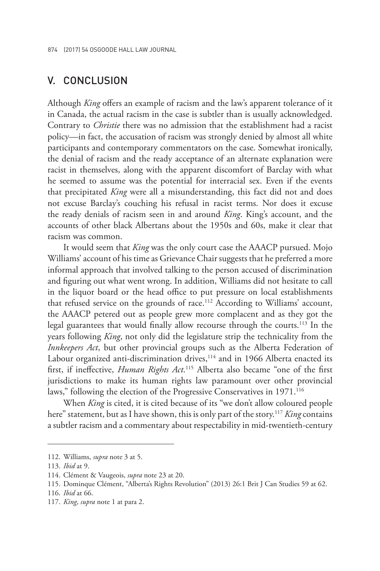### V. CONCLUSION

Although *King* offers an example of racism and the law's apparent tolerance of it in Canada, the actual racism in the case is subtler than is usually acknowledged. Contrary to *Christie* there was no admission that the establishment had a racist policy—in fact, the accusation of racism was strongly denied by almost all white participants and contemporary commentators on the case. Somewhat ironically, the denial of racism and the ready acceptance of an alternate explanation were racist in themselves, along with the apparent discomfort of Barclay with what he seemed to assume was the potential for interracial sex. Even if the events that precipitated *King* were all a misunderstanding, this fact did not and does not excuse Barclay's couching his refusal in racist terms. Nor does it excuse the ready denials of racism seen in and around *King*. King's account, and the accounts of other black Albertans about the 1950s and 60s, make it clear that racism was common.

It would seem that *King* was the only court case the AAACP pursued. Mojo Williams' account of his time as Grievance Chair suggests that he preferred a more informal approach that involved talking to the person accused of discrimination and figuring out what went wrong. In addition, Williams did not hesitate to call in the liquor board or the head office to put pressure on local establishments that refused service on the grounds of race.<sup>112</sup> According to Williams' account, the AAACP petered out as people grew more complacent and as they got the legal guarantees that would finally allow recourse through the courts.<sup>113</sup> In the years following *King*, not only did the legislature strip the technicality from the *Innkeepers Act*, but other provincial groups such as the Alberta Federation of Labour organized anti-discrimination drives,<sup>114</sup> and in 1966 Alberta enacted its first, if ineffective, *Human Rights Act*. 115 Alberta also became "one of the first jurisdictions to make its human rights law paramount over other provincial laws," following the election of the Progressive Conservatives in 1971.<sup>116</sup>

When *King* is cited, it is cited because of its "we don't allow coloured people here" statement, but as I have shown, this is only part of the story.117 *King* contains a subtler racism and a commentary about respectability in mid-twentieth-century

<sup>112.</sup> Williams, *supra* note 3 at 5.

<sup>113.</sup> *Ibid* at 9.

<sup>114.</sup> Clément & Vaugeois, *supra* note 23 at 20.

<sup>115.</sup> Dominque Clément, "Alberta's Rights Revolution" (2013) 26:1 Brit J Can Studies 59 at 62.

<sup>116.</sup> *Ibid* at 66.

<sup>117.</sup> *King*, *supra* note 1 at para 2.